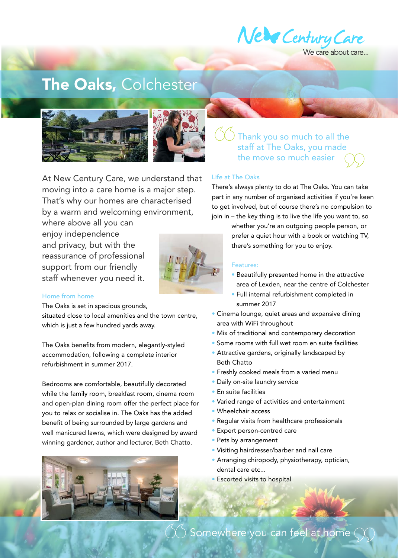

Ve care about care...

# The Oaks, Colchester



At New Century Care, we understand that moving into a care home is a major step. That's why our homes are characterised by a warm and welcoming environment,

where above all you can enjoy independence and privacy, but with the reassurance of professional support from our friendly staff whenever you need it.



### Home from home

The Oaks is set in spacious grounds,

situated close to local amenities and the town centre, which is just a few hundred yards away.

The Oaks benefits from modern, elegantly-styled accommodation, following a complete interior refurbishment in summer 2017.

Bedrooms are comfortable, beautifully decorated while the family room, breakfast room, cinema room and open-plan dining room offer the perfect place for you to relax or socialise in. The Oaks has the added benefit of being surrounded by large gardens and well manicured lawns, which were designed by award winning gardener, author and lecturer, Beth Chatto.



## Thank you so much to all the staff at The Oaks, you made the move so much easier

#### Life at The Oaks

There's always plenty to do at The Oaks. You can take part in any number of organised activities if you're keen to get involved, but of course there's no compulsion to join in – the key thing is to live the life you want to, so

> whether you're an outgoing people person, or prefer a quiet hour with a book or watching TV, there's something for you to enjoy.

#### Features:

- Beautifully presented home in the attractive area of Lexden, near the centre of Colchester
- Full internal refurbishment completed in summer 2017
- Cinema lounge, quiet areas and expansive dining area with WiFi throughout
- Mix of traditional and contemporary decoration
- Some rooms with full wet room en suite facilities
- Attractive gardens, originally landscaped by Beth Chatto
- Freshly cooked meals from a varied menu
- Daily on-site laundry service
- En suite facilities
- Varied range of activities and entertainment
- Wheelchair access
- Regular visits from healthcare professionals
- Expert person-centred care
- Pets by arrangement
- Visiting hairdresser/barber and nail care
- Arranging chiropody, physiotherapy, optician, dental care etc...
- Escorted visits to hospital

 $\left(\bigtimes\right)$  Somewhere you can feel at home  $\bigcirc$